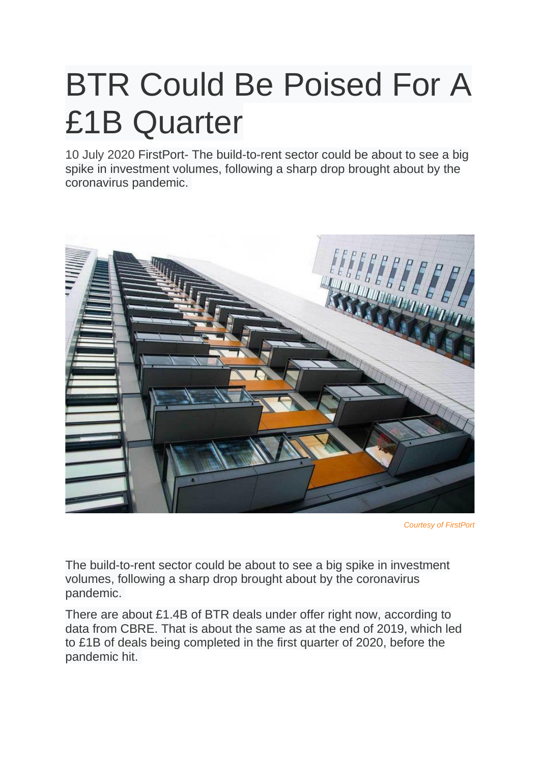## BTR Could Be Poised For A £1B Quarter

10 July 2020 FirstPort- The build-to-rent sector could be about to see a big spike in investment volumes, following a sharp drop brought about by the coronavirus pandemic.



*[Courtesy of FirstPort](https://www.firstport.co.uk/)*

The build-to-rent sector could be about to see a big spike in investment volumes, following a sharp drop brought about by the coronavirus pandemic.

There are about £1.4B of BTR deals under offer right now, according to data from CBRE. That is about the same as at the end of 2019, which led to £1B of deals being completed in the first quarter of 2020, before the pandemic hit.